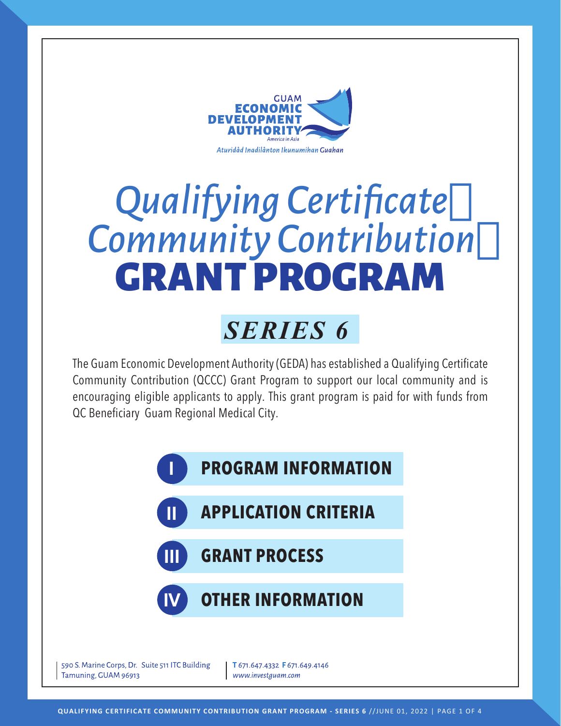

# *Qualifying Certificate Community Contribution* GRANT PROGRAM

# *SERIES 6*

The Guam Economic Development Authority (GEDA) has established a Qualifying Certificate Community Contribution (QCCC) Grant Program to support our local community and is encouraging eligible applicants to apply. This grant program is paid for with funds from QC Beneficiary Guam Regional Medical City.

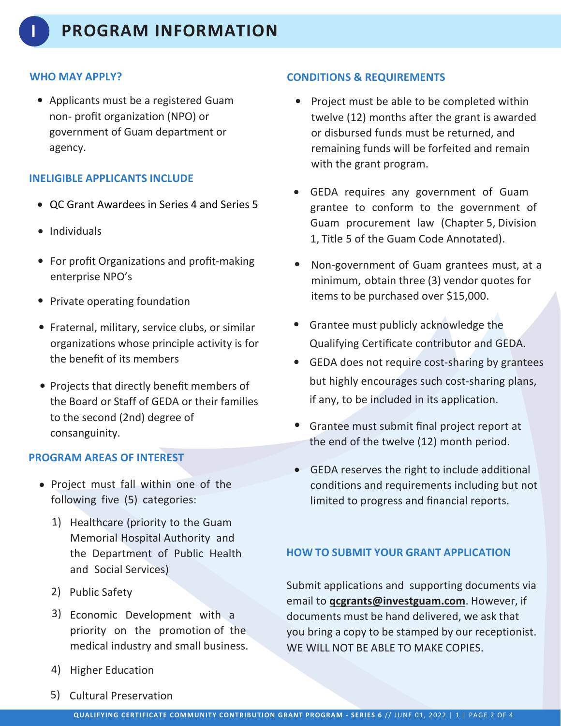#### **WHO MAY APPLY?**

• Applicants must be a registered Guam non- profit organization (NPO) or government of Guam department or agency.

#### **INELIGIBLE APPLICANTS INCLUDE**

- QC Grant Awardees in Series 4 and Series 5
- Individuals
- For profit Organizations and profit-making enterprise NPO's
- Private operating foundation
- Fraternal, military, service clubs, or similar organizations whose principle activity is for the benefit of its members
- Projects that directly benefit members of the Board or Staff of GEDA or their families to the second (2nd) degree of consanguinity.

#### **PROGRAM AREAS OF INTEREST**

- Project must fall within one of the following five (5) categories:
	- 1) Healthcare (priority to the Guam Memorial Hospital Authority and the Department of Public Health and Social Services)
	- 2) Public Safety
	- 3) Economic Development with a priority on the promotion of the medical industry and small business.
	- 4) Higher Education
	- 5) Cultural Preservation

#### **CONDITIONS & REQUIREMENTS**

- Project must be able to be completed within twelve (12) months after the grant is awarded or disbursed funds must be returned, and remaining funds will be forfeited and remain with the grant program.
- GEDA requires any government of Guam grantee to conform to the government of Guam procurement law (Chapter 5, Division 1, Title 5 of the Guam Code Annotated).
- Non-government of Guam grantees must, at a minimum, obtain three (3) vendor quotes for items to be purchased over \$15,000.
- Grantee must publicly acknowledge the Qualifying Certificate contributor and GEDA.
- GEDA does not require cost-sharing by grantees •but highly encourages such cost-sharing plans, if any, to be included in its application.
- Grantee must submit final project report at the end of the twelve (12) month period.
- GEDA reserves the right to include additional conditions and requirements including but not limited to progress and financial reports.

#### **HOW TO SUBMIT YOUR GRANT APPLICATION**

Submit applications and supporting documents via email to **qcgrants@investguam.com**. However, if documents must be hand delivered, we ask that you bring a copy to be stamped by our receptionist. WE WILL NOT BE ABLE TO MAKE COPIES.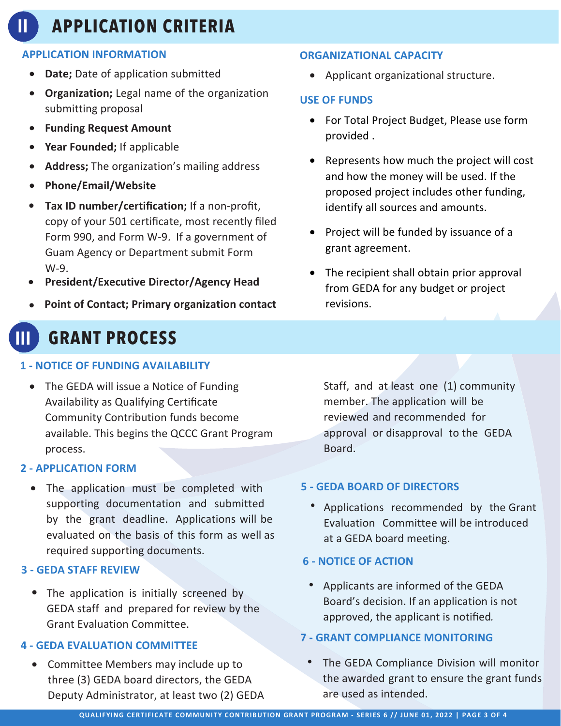# **II APPLICATION CRITERIA**

#### **APPLICATION INFORMATION**

- **Date;** Date of application submitted
- **Organization;** Legal name of the organization submitting proposal
- **Funding Request Amount**
- Year Founded; If applicable
- **Address;** The organization's mailing address
- **Phone/Email/Website**
- **Tax ID number/certification;** If a non-profit, copy of your 501 certificate, most recently filed Form 990, and Form W-9. If a government of Guam Agency or Department submit Form W-9.
- **President/Executive Director/Agency Head**
- **Point of Contact; Primary organization contact**

## **III GRANT PROCESS**

#### **1 - NOTICE OF FUNDING AVAILABILITY**

• The GEDA will issue a Notice of Funding Availability as Qualifying Certificate Community Contribution funds become available. This begins the QCCC Grant Program process.

#### **2 - APPLICATION FORM**

• The application must be completed with supporting documentation and submitted by the grant deadline. Applications will be evaluated on the basis of this form as well as required supporting documents.

#### **3 - GEDA STAFF REVIEW**

• The application is initially screened by GEDA staff and prepared for review by the Grant Evaluation Committee.

#### **4 - GEDA EVALUATION COMMITTEE**

• Committee Members may include up to three (3) GEDA board directors, the GEDA Deputy Administrator, at least two (2) GEDA

#### **ORGANIZATIONAL CAPACITY**

• Applicant organizational structure.

#### **USE OF FUNDS**

- For Total Project Budget, Please use form provided .
- Represents how much the project will cost and how the money will be used. If the proposed project includes other funding, identify all sources and amounts.
- Project will be funded by issuance of a grant agreement.
- The recipient shall obtain prior approval from GEDA for any budget or project revisions.

Staff, and at least one (1) community member. The application will be reviewed and recommended for approval or disapproval to the GEDA Board.

#### **5 - GEDA BOARD OF DIRECTORS**

• Applications recommended by the Grant Evaluation Committee will be introduced at a GEDA board meeting.

#### **6 - NOTICE OF ACTION**

• Applicants are informed of the GEDA Board's decision. If an application is not approved, the applicant is notified.

#### **7 - GRANT COMPLIANCE MONITORING**

• The GEDA Compliance Division will monitor the awarded grant to ensure the grant funds are used as intended.